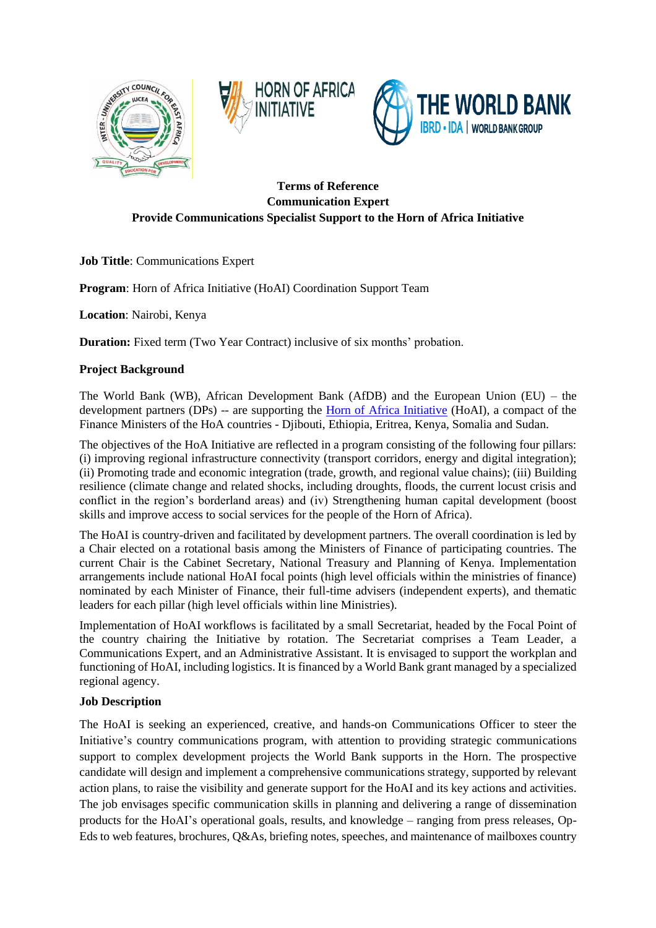





## **Terms of Reference Communication Expert Provide Communications Specialist Support to the Horn of Africa Initiative**

**Job Tittle**: Communications Expert

**Program**: Horn of Africa Initiative (HoAI) Coordination Support Team

**Location**: Nairobi, Kenya

**Duration:** Fixed term (Two Year Contract) inclusive of six months' probation.

### **Project Background**

The World Bank (WB), African Development Bank (AfDB) and the European Union (EU) – the development partners (DPs) -- are supporting the [Horn of Africa Initiative](https://hoainitiative.org/wp-content/uploads/2021/03/HoAI-Project-Profiles.pdf) (HoAI), a compact of the Finance Ministers of the HoA countries - Djibouti, Ethiopia, Eritrea, Kenya, Somalia and Sudan.

The objectives of the HoA Initiative are reflected in a program consisting of the following four pillars: (i) improving regional infrastructure connectivity (transport corridors, energy and digital integration); (ii) Promoting trade and economic integration (trade, growth, and regional value chains); (iii) Building resilience (climate change and related shocks, including droughts, floods, the current locust crisis and conflict in the region's borderland areas) and (iv) Strengthening human capital development (boost skills and improve access to social services for the people of the Horn of Africa).

The HoAI is country-driven and facilitated by development partners. The overall coordination is led by a Chair elected on a rotational basis among the Ministers of Finance of participating countries. The current Chair is the Cabinet Secretary, National Treasury and Planning of Kenya. Implementation arrangements include national HoAI focal points (high level officials within the ministries of finance) nominated by each Minister of Finance, their full-time advisers (independent experts), and thematic leaders for each pillar (high level officials within line Ministries).

Implementation of HoAI workflows is facilitated by a small Secretariat, headed by the Focal Point of the country chairing the Initiative by rotation. The Secretariat comprises a Team Leader, a Communications Expert, and an Administrative Assistant. It is envisaged to support the workplan and functioning of HoAI, including logistics. It is financed by a World Bank grant managed by a specialized regional agency.

### **Job Description**

The HoAI is seeking an experienced, creative, and hands-on Communications Officer to steer the Initiative's country communications program, with attention to providing strategic communications support to complex development projects the World Bank supports in the Horn. The prospective candidate will design and implement a comprehensive communications strategy, supported by relevant action plans, to raise the visibility and generate support for the HoAI and its key actions and activities. The job envisages specific communication skills in planning and delivering a range of dissemination products for the HoAI's operational goals, results, and knowledge – ranging from press releases, Op-Eds to web features, brochures, Q&As, briefing notes, speeches, and maintenance of mailboxes country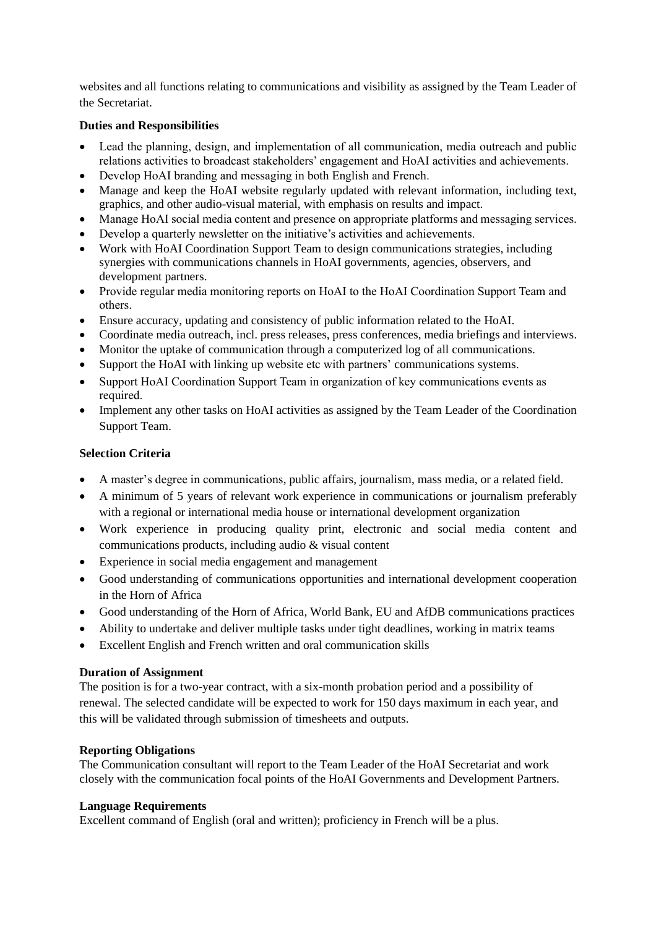websites and all functions relating to communications and visibility as assigned by the Team Leader of the Secretariat.

### **Duties and Responsibilities**

- Lead the planning, design, and implementation of all communication, media outreach and public relations activities to broadcast stakeholders' engagement and HoAI activities and achievements.
- Develop HoAI branding and messaging in both English and French.
- Manage and keep the HoAI website regularly updated with relevant information, including text, graphics, and other audio-visual material, with emphasis on results and impact.
- Manage HoAI social media content and presence on appropriate platforms and messaging services.
- Develop a quarterly newsletter on the initiative's activities and achievements.
- Work with HoAI Coordination Support Team to design communications strategies, including synergies with communications channels in HoAI governments, agencies, observers, and development partners.
- Provide regular media monitoring reports on HoAI to the HoAI Coordination Support Team and others.
- Ensure accuracy, updating and consistency of public information related to the HoAI.
- Coordinate media outreach, incl. press releases, press conferences, media briefings and interviews.
- Monitor the uptake of communication through a computerized log of all communications.
- Support the HoAI with linking up website etc with partners' communications systems.
- Support HoAI Coordination Support Team in organization of key communications events as required.
- Implement any other tasks on HoAI activities as assigned by the Team Leader of the Coordination Support Team.

### **Selection Criteria**

- A master's degree in communications, public affairs, journalism, mass media, or a related field.
- A minimum of 5 years of relevant work experience in communications or journalism preferably with a regional or international media house or international development organization
- Work experience in producing quality print, electronic and social media content and communications products, including audio & visual content
- Experience in social media engagement and management
- Good understanding of communications opportunities and international development cooperation in the Horn of Africa
- Good understanding of the Horn of Africa, World Bank, EU and AfDB communications practices
- Ability to undertake and deliver multiple tasks under tight deadlines, working in matrix teams
- Excellent English and French written and oral communication skills

### **Duration of Assignment**

The position is for a two-year contract, with a six-month probation period and a possibility of renewal. The selected candidate will be expected to work for 150 days maximum in each year, and this will be validated through submission of timesheets and outputs.

### **Reporting Obligations**

The Communication consultant will report to the Team Leader of the HoAI Secretariat and work closely with the communication focal points of the HoAI Governments and Development Partners.

### **Language Requirements**

Excellent command of English (oral and written); proficiency in French will be a plus.